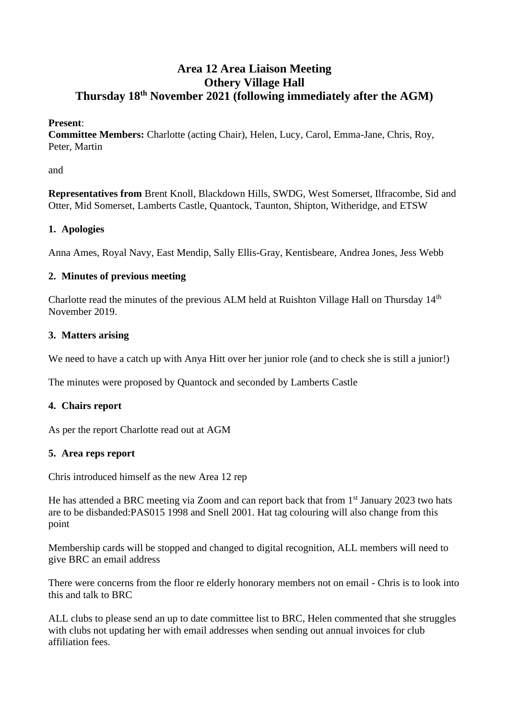# **Area 12 Area Liaison Meeting Othery Village Hall Thursday 18th November 2021 (following immediately after the AGM)**

## **Present**:

**Committee Members:** Charlotte (acting Chair), Helen, Lucy, Carol, Emma-Jane, Chris, Roy, Peter, Martin

and

**Representatives from** Brent Knoll, Blackdown Hills, SWDG, West Somerset, Ilfracombe, Sid and Otter, Mid Somerset, Lamberts Castle, Quantock, Taunton, Shipton, Witheridge, and ETSW

# **1. Apologies**

Anna Ames, Royal Navy, East Mendip, Sally Ellis-Gray, Kentisbeare, Andrea Jones, Jess Webb

## **2. Minutes of previous meeting**

Charlotte read the minutes of the previous ALM held at Ruishton Village Hall on Thursday 14<sup>th</sup> November 2019.

## **3. Matters arising**

We need to have a catch up with Anya Hitt over her junior role (and to check she is still a junior!)

The minutes were proposed by Quantock and seconded by Lamberts Castle

#### **4. Chairs report**

As per the report Charlotte read out at AGM

# **5. Area reps report**

Chris introduced himself as the new Area 12 rep

He has attended a BRC meeting via Zoom and can report back that from 1<sup>st</sup> January 2023 two hats are to be disbanded:PAS015 1998 and Snell 2001. Hat tag colouring will also change from this point

Membership cards will be stopped and changed to digital recognition, ALL members will need to give BRC an email address

There were concerns from the floor re elderly honorary members not on email - Chris is to look into this and talk to BRC

ALL clubs to please send an up to date committee list to BRC, Helen commented that she struggles with clubs not updating her with email addresses when sending out annual invoices for club affiliation fees.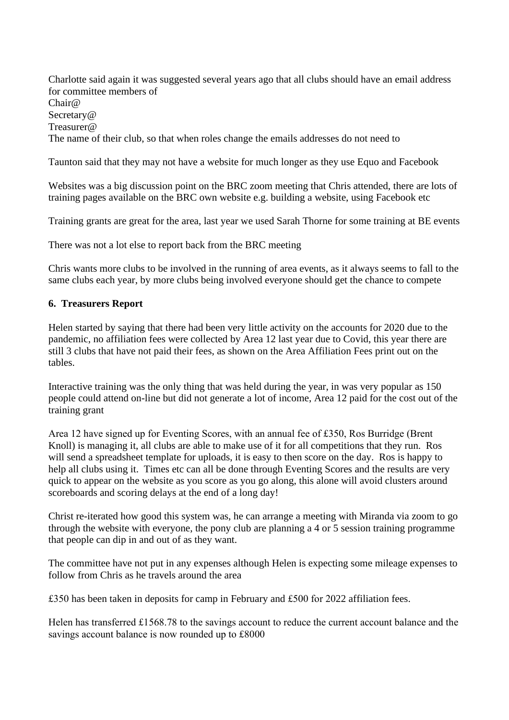Charlotte said again it was suggested several years ago that all clubs should have an email address for committee members of Chair@ Secretary@ Treasurer@ The name of their club, so that when roles change the emails addresses do not need to

Taunton said that they may not have a website for much longer as they use Equo and Facebook

Websites was a big discussion point on the BRC zoom meeting that Chris attended, there are lots of training pages available on the BRC own website e.g. building a website, using Facebook etc

Training grants are great for the area, last year we used Sarah Thorne for some training at BE events

There was not a lot else to report back from the BRC meeting

Chris wants more clubs to be involved in the running of area events, as it always seems to fall to the same clubs each year, by more clubs being involved everyone should get the chance to compete

## **6. Treasurers Report**

Helen started by saying that there had been very little activity on the accounts for 2020 due to the pandemic, no affiliation fees were collected by Area 12 last year due to Covid, this year there are still 3 clubs that have not paid their fees, as shown on the Area Affiliation Fees print out on the tables.

Interactive training was the only thing that was held during the year, in was very popular as 150 people could attend on-line but did not generate a lot of income, Area 12 paid for the cost out of the training grant

Area 12 have signed up for Eventing Scores, with an annual fee of £350, Ros Burridge (Brent Knoll) is managing it, all clubs are able to make use of it for all competitions that they run. Ros will send a spreadsheet template for uploads, it is easy to then score on the day. Ros is happy to help all clubs using it. Times etc can all be done through Eventing Scores and the results are very quick to appear on the website as you score as you go along, this alone will avoid clusters around scoreboards and scoring delays at the end of a long day!

Christ re-iterated how good this system was, he can arrange a meeting with Miranda via zoom to go through the website with everyone, the pony club are planning a 4 or 5 session training programme that people can dip in and out of as they want.

The committee have not put in any expenses although Helen is expecting some mileage expenses to follow from Chris as he travels around the area

£350 has been taken in deposits for camp in February and £500 for 2022 affiliation fees.

Helen has transferred £1568.78 to the savings account to reduce the current account balance and the savings account balance is now rounded up to £8000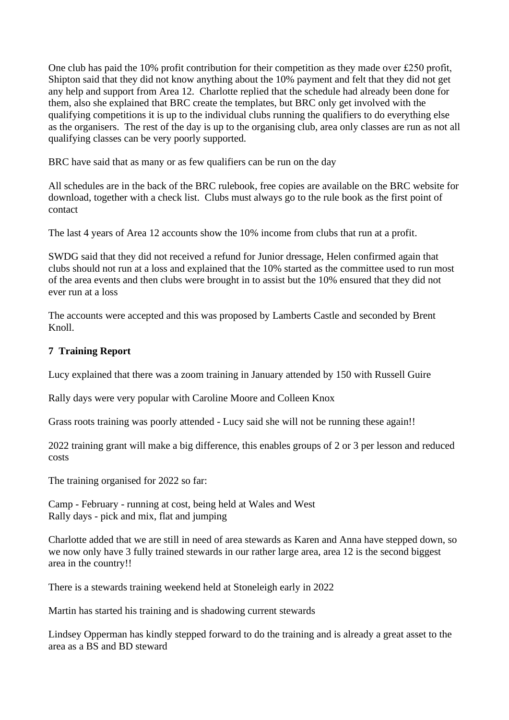One club has paid the 10% profit contribution for their competition as they made over £250 profit, Shipton said that they did not know anything about the 10% payment and felt that they did not get any help and support from Area 12. Charlotte replied that the schedule had already been done for them, also she explained that BRC create the templates, but BRC only get involved with the qualifying competitions it is up to the individual clubs running the qualifiers to do everything else as the organisers. The rest of the day is up to the organising club, area only classes are run as not all qualifying classes can be very poorly supported.

BRC have said that as many or as few qualifiers can be run on the day

All schedules are in the back of the BRC rulebook, free copies are available on the BRC website for download, together with a check list. Clubs must always go to the rule book as the first point of contact

The last 4 years of Area 12 accounts show the 10% income from clubs that run at a profit.

SWDG said that they did not received a refund for Junior dressage, Helen confirmed again that clubs should not run at a loss and explained that the 10% started as the committee used to run most of the area events and then clubs were brought in to assist but the 10% ensured that they did not ever run at a loss

The accounts were accepted and this was proposed by Lamberts Castle and seconded by Brent Knoll.

## **7 Training Report**

Lucy explained that there was a zoom training in January attended by 150 with Russell Guire

Rally days were very popular with Caroline Moore and Colleen Knox

Grass roots training was poorly attended - Lucy said she will not be running these again!!

2022 training grant will make a big difference, this enables groups of 2 or 3 per lesson and reduced costs

The training organised for 2022 so far:

Camp - February - running at cost, being held at Wales and West Rally days - pick and mix, flat and jumping

Charlotte added that we are still in need of area stewards as Karen and Anna have stepped down, so we now only have 3 fully trained stewards in our rather large area, area 12 is the second biggest area in the country!!

There is a stewards training weekend held at Stoneleigh early in 2022

Martin has started his training and is shadowing current stewards

Lindsey Opperman has kindly stepped forward to do the training and is already a great asset to the area as a BS and BD steward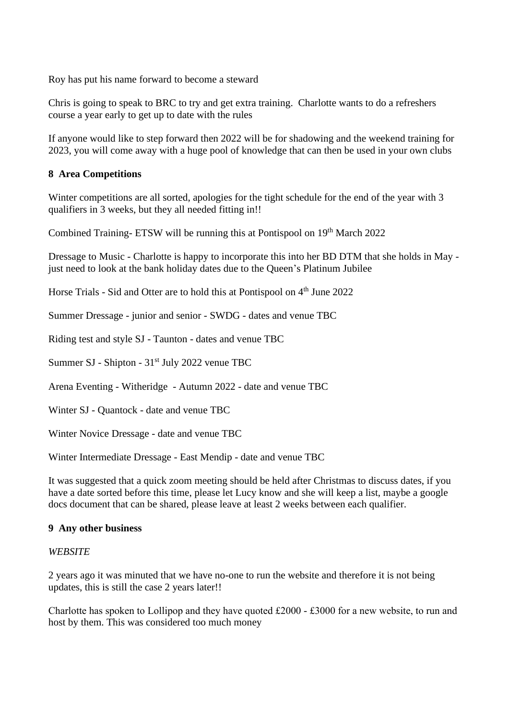Roy has put his name forward to become a steward

Chris is going to speak to BRC to try and get extra training. Charlotte wants to do a refreshers course a year early to get up to date with the rules

If anyone would like to step forward then 2022 will be for shadowing and the weekend training for 2023, you will come away with a huge pool of knowledge that can then be used in your own clubs

## **8 Area Competitions**

Winter competitions are all sorted, apologies for the tight schedule for the end of the year with 3 qualifiers in 3 weeks, but they all needed fitting in!!

Combined Training- ETSW will be running this at Pontispool on 19<sup>th</sup> March 2022

Dressage to Music - Charlotte is happy to incorporate this into her BD DTM that she holds in May just need to look at the bank holiday dates due to the Queen's Platinum Jubilee

Horse Trials - Sid and Otter are to hold this at Pontispool on 4<sup>th</sup> June 2022

Summer Dressage - junior and senior - SWDG - dates and venue TBC

Riding test and style SJ - Taunton - dates and venue TBC

Summer SJ - Shipton - 31st July 2022 venue TBC

Arena Eventing - Witheridge - Autumn 2022 - date and venue TBC

Winter SJ - Quantock - date and venue TBC

Winter Novice Dressage - date and venue TBC

Winter Intermediate Dressage - East Mendip - date and venue TBC

It was suggested that a quick zoom meeting should be held after Christmas to discuss dates, if you have a date sorted before this time, please let Lucy know and she will keep a list, maybe a google docs document that can be shared, please leave at least 2 weeks between each qualifier.

#### **9 Any other business**

#### *WEBSITE*

2 years ago it was minuted that we have no-one to run the website and therefore it is not being updates, this is still the case 2 years later!!

Charlotte has spoken to Lollipop and they have quoted £2000 - £3000 for a new website, to run and host by them. This was considered too much money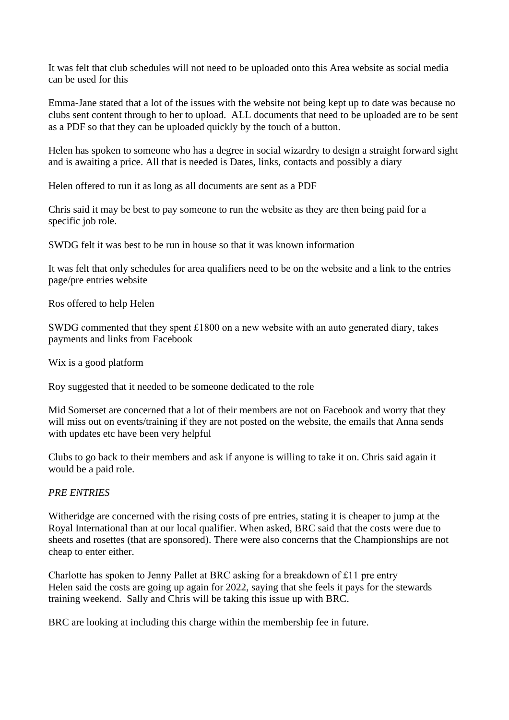It was felt that club schedules will not need to be uploaded onto this Area website as social media can be used for this

Emma-Jane stated that a lot of the issues with the website not being kept up to date was because no clubs sent content through to her to upload. ALL documents that need to be uploaded are to be sent as a PDF so that they can be uploaded quickly by the touch of a button.

Helen has spoken to someone who has a degree in social wizardry to design a straight forward sight and is awaiting a price. All that is needed is Dates, links, contacts and possibly a diary

Helen offered to run it as long as all documents are sent as a PDF

Chris said it may be best to pay someone to run the website as they are then being paid for a specific job role.

SWDG felt it was best to be run in house so that it was known information

It was felt that only schedules for area qualifiers need to be on the website and a link to the entries page/pre entries website

Ros offered to help Helen

SWDG commented that they spent £1800 on a new website with an auto generated diary, takes payments and links from Facebook

Wix is a good platform

Roy suggested that it needed to be someone dedicated to the role

Mid Somerset are concerned that a lot of their members are not on Facebook and worry that they will miss out on events/training if they are not posted on the website, the emails that Anna sends with updates etc have been very helpful

Clubs to go back to their members and ask if anyone is willing to take it on. Chris said again it would be a paid role.

# *PRE ENTRIES*

Witheridge are concerned with the rising costs of pre entries, stating it is cheaper to jump at the Royal International than at our local qualifier. When asked, BRC said that the costs were due to sheets and rosettes (that are sponsored). There were also concerns that the Championships are not cheap to enter either.

Charlotte has spoken to Jenny Pallet at BRC asking for a breakdown of £11 pre entry Helen said the costs are going up again for 2022, saying that she feels it pays for the stewards training weekend. Sally and Chris will be taking this issue up with BRC.

BRC are looking at including this charge within the membership fee in future.